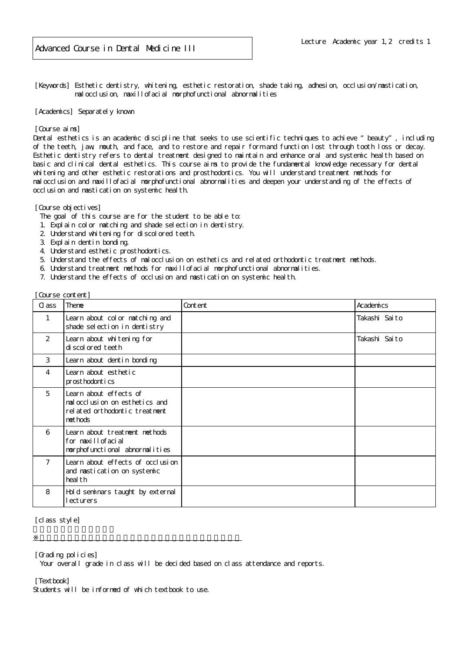[Keywords] Esthetic dentistry, whitening, esthetic restoration, shade taking, adhesion, occlusion/mastication, malocclusion, maxillofacial morphofunctional abnormalities

[Academics] Separately known

## [Course aims]

Dental esthetics is an academic discipline that seeks to use scientific techniques to achieve "beauty", including of the teeth, jaw, mouth, and face, and to restore and repair form and function lost through tooth loss or decay. Esthetic dentistry refers to dental treatment designed to maintain and enhance oral and systemic health based on basic and clinical dental esthetics. This course aims to provide the fundamental knowledge necessary for dental whitening and other esthetic restorations and prosthodontics. You will understand treatment methods for malocclusion and maxillofacial morphofunctional abnormalities and deepen your understanding of the effects of occlusion and mastication on systemic health.

[Course objectives]

The goal of this course are for the student to be able to:

- 1. Explain color matching and shade selection in dentistry.
- 2. Understand whitening for discolored teeth.
- 3. Explain dentin bonding.
- 4. Understand esthetic prosthodontics.
- 5. Understand the effects of malocclusion on esthetics and related orthodontic treatment methods.
- 6. Understand treatment methods for maxillofacial morphofunctional abnormalities.
- 7. Understand the effects of occlusion and mastication on systemic health.

| Cl ass       | Theme                                                                                                 | Content | Academics     |
|--------------|-------------------------------------------------------------------------------------------------------|---------|---------------|
| $\mathbf{1}$ | Learn about col or matching and<br>shade selection in dentistry                                       |         | Takashi Saito |
| 2            | Learn about whitening for<br>di scol ored teeth                                                       |         | Takashi Saito |
| 3            | Learn about dentin bonding                                                                            |         |               |
| 4            | Learn about esthetic<br>prosthodontics                                                                |         |               |
| 5            | Learn about effects of<br>mal occlusion on esthetics and<br>rel ated orthodontic treatment<br>methods |         |               |
| 6            | Learn about treatment methods<br>for maxillofacial<br>morphofunctional abnormalities                  |         |               |
| $7^{\circ}$  | Learn about effects of occlusion<br>and mastication on systemic<br>heal th                            |         |               |
| 8            | Hold seminars taught by external<br>ecturers                                                          |         |               |

[class style]

[Grading policies]

Your overall grade in class will be decided based on class attendance and reports.

[Textbook]

Students will be informed of which textbook to use.

※授業実施形態は、各学部(研究科)、学校の授業実施方針による